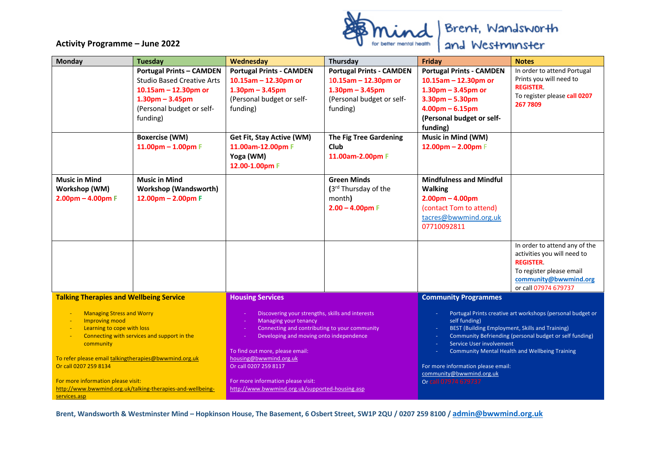## **Activity Programme – June 2022**



| <b>Monday</b>                                                                                                                                                                                                                                                        | <b>Tuesday</b>                                                                                                                                             | Wednesday                                                                                                                                                                                                                                                                                                | Thursday                                                                                                                | Friday                                                                                                                                                                                                                                                                                                                                                                   | <b>Notes</b>                                                                                                                                                 |
|----------------------------------------------------------------------------------------------------------------------------------------------------------------------------------------------------------------------------------------------------------------------|------------------------------------------------------------------------------------------------------------------------------------------------------------|----------------------------------------------------------------------------------------------------------------------------------------------------------------------------------------------------------------------------------------------------------------------------------------------------------|-------------------------------------------------------------------------------------------------------------------------|--------------------------------------------------------------------------------------------------------------------------------------------------------------------------------------------------------------------------------------------------------------------------------------------------------------------------------------------------------------------------|--------------------------------------------------------------------------------------------------------------------------------------------------------------|
|                                                                                                                                                                                                                                                                      | <b>Portugal Prints - CAMDEN</b><br><b>Studio Based Creative Arts</b><br>10.15am - 12.30pm or<br>$1.30pm - 3.45pm$<br>(Personal budget or self-<br>funding) | <b>Portugal Prints - CAMDEN</b><br>10.15am $-$ 12.30pm or<br>$1.30pm - 3.45pm$<br>(Personal budget or self-<br>funding)                                                                                                                                                                                  | <b>Portugal Prints - CAMDEN</b><br>10.15am $-$ 12.30pm or<br>$1.30pm - 3.45pm$<br>(Personal budget or self-<br>funding) | <b>Portugal Prints - CAMDEN</b><br>$10.15$ am - 12.30pm or<br>$1.30$ pm $- 3.45$ pm or<br>$3.30pm - 5.30pm$<br>$4.00pm - 6.15pm$<br>(Personal budget or self-<br>funding)                                                                                                                                                                                                | In order to attend Portugal<br>Prints you will need to<br><b>REGISTER</b><br>To register please call 0207<br>267 7809                                        |
|                                                                                                                                                                                                                                                                      | <b>Boxercise (WM)</b><br>$11.00pm - 1.00pm$ F                                                                                                              | Get Fit, Stay Active (WM)<br>11.00am-12.00pm F<br>Yoga (WM)<br>12.00-1.00pm F                                                                                                                                                                                                                            | <b>The Fig Tree Gardening</b><br>Club<br>11.00am-2.00pm F                                                               | Music in Mind (WM)<br>12.00pm $-$ 2.00pm $F$                                                                                                                                                                                                                                                                                                                             |                                                                                                                                                              |
| <b>Music in Mind</b><br>Workshop (WM)<br>$2.00pm - 4.00pm F$                                                                                                                                                                                                         | <b>Music in Mind</b><br><b>Workshop (Wandsworth)</b><br>$12.00pm - 2.00pm F$                                                                               |                                                                                                                                                                                                                                                                                                          | <b>Green Minds</b><br>(3rd Thursday of the<br>month)<br>$2.00 - 4.00$ pm F                                              | <b>Mindfulness and Mindful</b><br><b>Walking</b><br>$2.00pm - 4.00pm$<br>(contact Tom to attend)<br>tacres@bwwmind.org.uk<br>07710092811                                                                                                                                                                                                                                 |                                                                                                                                                              |
|                                                                                                                                                                                                                                                                      |                                                                                                                                                            |                                                                                                                                                                                                                                                                                                          |                                                                                                                         |                                                                                                                                                                                                                                                                                                                                                                          | In order to attend any of the<br>activities you will need to<br><b>REGISTER</b><br>To register please email<br>community@bwwmind.org<br>or call 07974 679737 |
| <b>Talking Therapies and Wellbeing Service</b>                                                                                                                                                                                                                       |                                                                                                                                                            | <b>Housing Services</b>                                                                                                                                                                                                                                                                                  |                                                                                                                         | <b>Community Programmes</b>                                                                                                                                                                                                                                                                                                                                              |                                                                                                                                                              |
| <b>Managing Stress and Worry</b><br>Improving mood<br>Learning to cope with loss<br>Connecting with services and support in the<br>community<br>To refer please email talkingtherapies@bwwmind.org.uk<br>Or call 0207 259 8134<br>For more information please visit: |                                                                                                                                                            | Discovering your strengths, skills and interests<br><b>Managing your tenancy</b><br>Connecting and contributing to your community<br>Developing and moving onto independence<br>To find out more, please email:<br>housing@bwwmind.org.uk<br>Or call 0207 259 8117<br>For more information please visit: |                                                                                                                         | Portugal Prints creative art workshops (personal budget or<br>self funding)<br>BEST (Building Employment, Skills and Training)<br>Community Befriending (personal budget or self funding)<br>Service User involvement<br><b>Community Mental Health and Wellbeing Training</b><br>For more information please email:<br>community@bwwmind.org.uk<br>Or call 07974 679737 |                                                                                                                                                              |
| http://www.bwwmind.org.uk/talking-therapies-and-wellbeing-<br>services.asp                                                                                                                                                                                           |                                                                                                                                                            | http://www.bwwmind.org.uk/supported-housing.asp                                                                                                                                                                                                                                                          |                                                                                                                         |                                                                                                                                                                                                                                                                                                                                                                          |                                                                                                                                                              |

**Brent, Wandsworth & Westminster Mind – Hopkinson House, The Basement, 6 Osbert Street, SW1P 2QU / 0207 259 8100 / admin@bwwmind.org.uk**